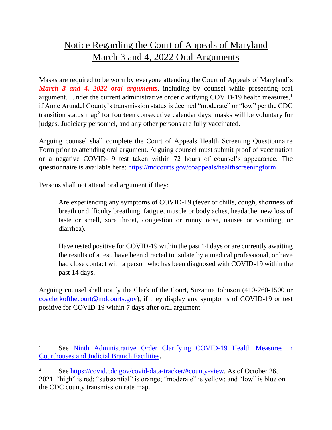## Notice Regarding the Court of Appeals of Maryland March 3 and 4, 2022 Oral Arguments

Masks are required to be worn by everyone attending the Court of Appeals of Maryland's *March 3 and 4, 2022 oral arguments*, including by counsel while presenting oral argument. Under the current administrative order clarifying COVID-19 health measures, 1 if Anne Arundel County's transmission status is deemed "moderate" or "low" per the CDC transition status map<sup>2</sup> for fourteen consecutive calendar days, masks will be voluntary for judges, Judiciary personnel, and any other persons are fully vaccinated.

Arguing counsel shall complete the Court of Appeals Health Screening Questionnaire Form prior to attending oral argument. Arguing counsel must submit proof of vaccination or a negative COVID-19 test taken within 72 hours of counsel's appearance. The questionnaire is available here:<https://mdcourts.gov/coappeals/healthscreeningform>

Persons shall not attend oral argument if they:

Are experiencing any symptoms of COVID-19 (fever or chills, cough, shortness of breath or difficulty breathing, fatigue, muscle or body aches, headache, new loss of taste or smell, sore throat, congestion or runny nose, nausea or vomiting, or diarrhea).

Have tested positive for COVID-19 within the past 14 days or are currently awaiting the results of a test, have been directed to isolate by a medical professional, or have had close contact with a person who has been diagnosed with COVID-19 within the past 14 days.

Arguing counsel shall notify the Clerk of the Court, Suzanne Johnson (410-260-1500 or [coaclerkofthecourt@mdcourts.gov\)](mailto:coaclerkofthecourt@mdcourts.gov), if they display any symptoms of COVID-19 or test positive for COVID-19 within 7 days after oral argument.

<sup>&</sup>lt;sup>1</sup> See Ninth Administrative Order Clarifying COVID-19 Health Measures in [Courthouses and Judicial Branch Facilities.](https://www.mdcourts.gov/sites/default/files/admin-orders/20210806ninthorderclarifyingcovid19healthmeasuresincourthousesandjudicialbranchfacilities.pdf)

<sup>&</sup>lt;sup>2</sup> See [https://covid.cdc.gov/covid-data-tracker/#county-view.](https://covid.cdc.gov/covid-data-tracker/#county-view) As of October 26, 2021, "high" is red; "substantial" is orange; "moderate" is yellow; and "low" is blue on the CDC county transmission rate map.